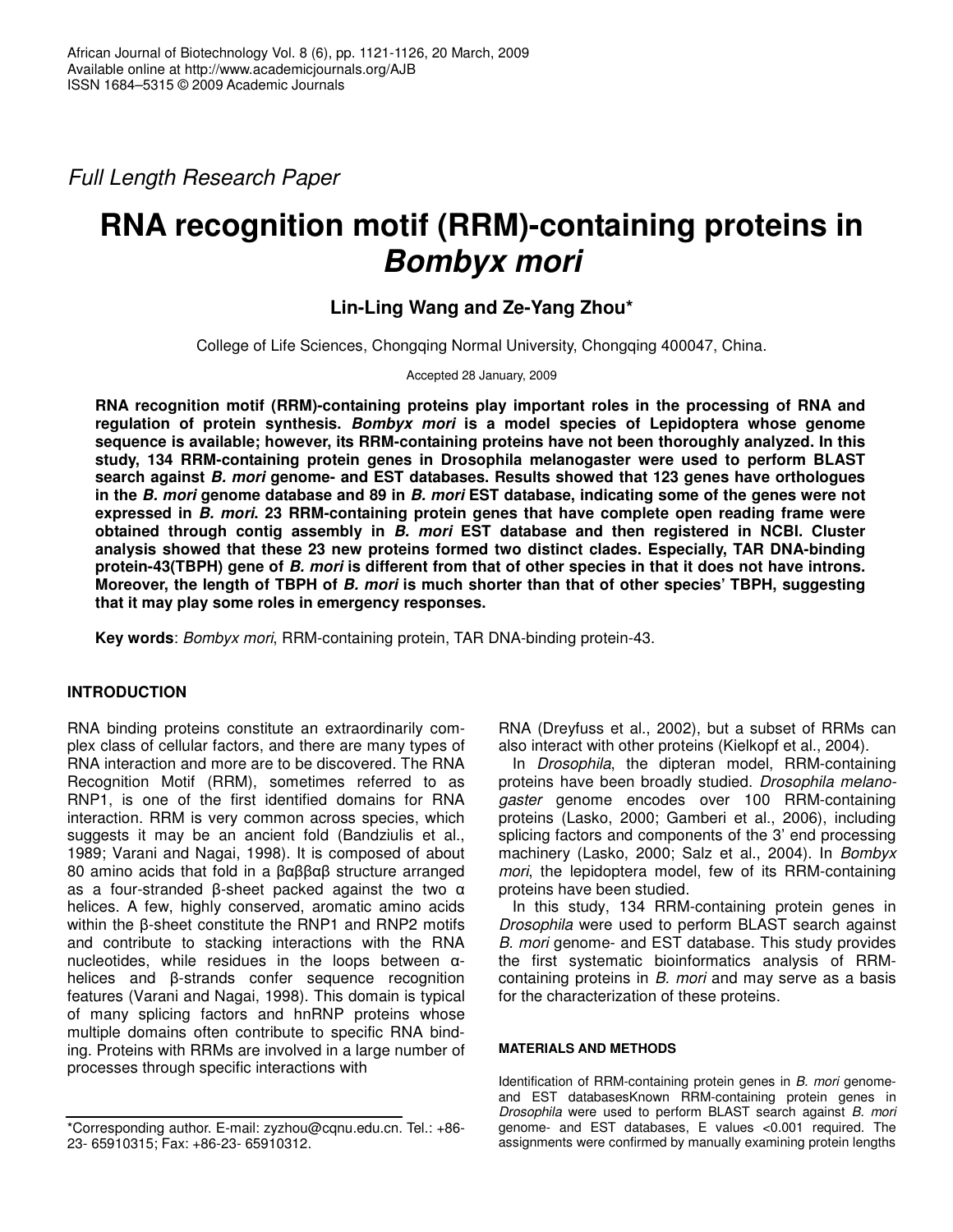*Full Length Research Paper*

# **RNA recognition motif (RRM)-containing proteins in** *Bombyx mori*

## **Lin-Ling Wang and Ze-Yang Zhou\***

College of Life Sciences, Chongqing Normal University, Chongqing 400047, China.

Accepted 28 January, 2009

**RNA recognition motif (RRM)-containing proteins play important roles in the processing of RNA and regulation of protein synthesis.** *Bombyx mori* **is a model species of Lepidoptera whose genome sequence is available; however, its RRM-containing proteins have not been thoroughly analyzed. In this study, 134 RRM-containing protein genes in Drosophila melanogaster were used to perform BLAST search against** *B. mori* **genome- and EST databases. Results showed that 123 genes have orthologues** in the B. mori genome database and 89 in B. mori EST database, indicating some of the genes were not **expressed in** *B. mori***. 23 RRM-containing protein genes that have complete open reading frame were obtained through contig assembly in** *B. mori* **EST database and then registered in NCBI. Cluster analysis showed that these 23 new proteins formed two distinct clades. Especially, TAR DNA-binding** protein-43(TBPH) gene of B. mori is different from that of other species in that it does not have introns. Moreover, the length of TBPH of B. mori is much shorter than that of other species' TBPH, suggesting **that it may play some roles in emergency responses.**

**Key words**: *Bombyx mori*, RRM-containing protein, TAR DNA-binding protein-43.

## **INTRODUCTION**

RNA binding proteins constitute an extraordinarily complex class of cellular factors, and there are many types of RNA interaction and more are to be discovered. The RNA Recognition Motif (RRM), sometimes referred to as RNP1, is one of the first identified domains for RNA interaction. RRM is very common across species, which suggests it may be an ancient fold (Bandziulis et al., 1989; Varani and Nagai, 1998). It is composed of about 80 amino acids that fold in a  $\beta\alpha\beta\beta\alpha\beta$  structure arranged as a four-stranded  $\beta$ -sheet packed against the two  $\alpha$ helices. A few, highly conserved, aromatic amino acids within the  $\beta$ -sheet constitute the RNP1 and RNP2 motifs and contribute to stacking interactions with the RNA nucleotides, while residues in the loops between  $\alpha$ helices and  $\beta$ -strands confer sequence recognition features (Varani and Nagai, 1998). This domain is typical of many splicing factors and hnRNP proteins whose multiple domains often contribute to specific RNA binding. Proteins with RRMs are involved in a large number of processes through specific interactions with

RNA (Dreyfuss et al., 2002), but a subset of RRMs can also interact with other proteins (Kielkopf et al., 2004).

In *Drosophila*, the dipteran model, RRM-containing proteins have been broadly studied. *Drosophila melanogaster* genome encodes over 100 RRM-containing proteins (Lasko, 2000; Gamberi et al., 2006), including splicing factors and components of the 3' end processing machinery (Lasko, 2000; Salz et al., 2004). In *Bombyx mori*, the lepidoptera model, few of its RRM-containing proteins have been studied.

In this study, 134 RRM-containing protein genes in *Drosophila* were used to perform BLAST search against *B. mori* genome- and EST database. This study provides the first systematic bioinformatics analysis of RRMcontaining proteins in *B. mori* and may serve as a basis for the characterization of these proteins.

### **MATERIALS AND METHODS**

Identification of RRM-containing protein genes in *B. mori* genomeand EST databasesKnown RRM-containing protein genes in *Drosophila* were used to perform BLAST search against *B. mori* genome- and EST databases, E values <0.001 required. The assignments were confirmed by manually examining protein lengths

<sup>\*</sup>Corresponding author. E-mail: zyzhou@cqnu.edu.cn. Tel.: +86- 23- 65910315; Fax: +86-23- 65910312.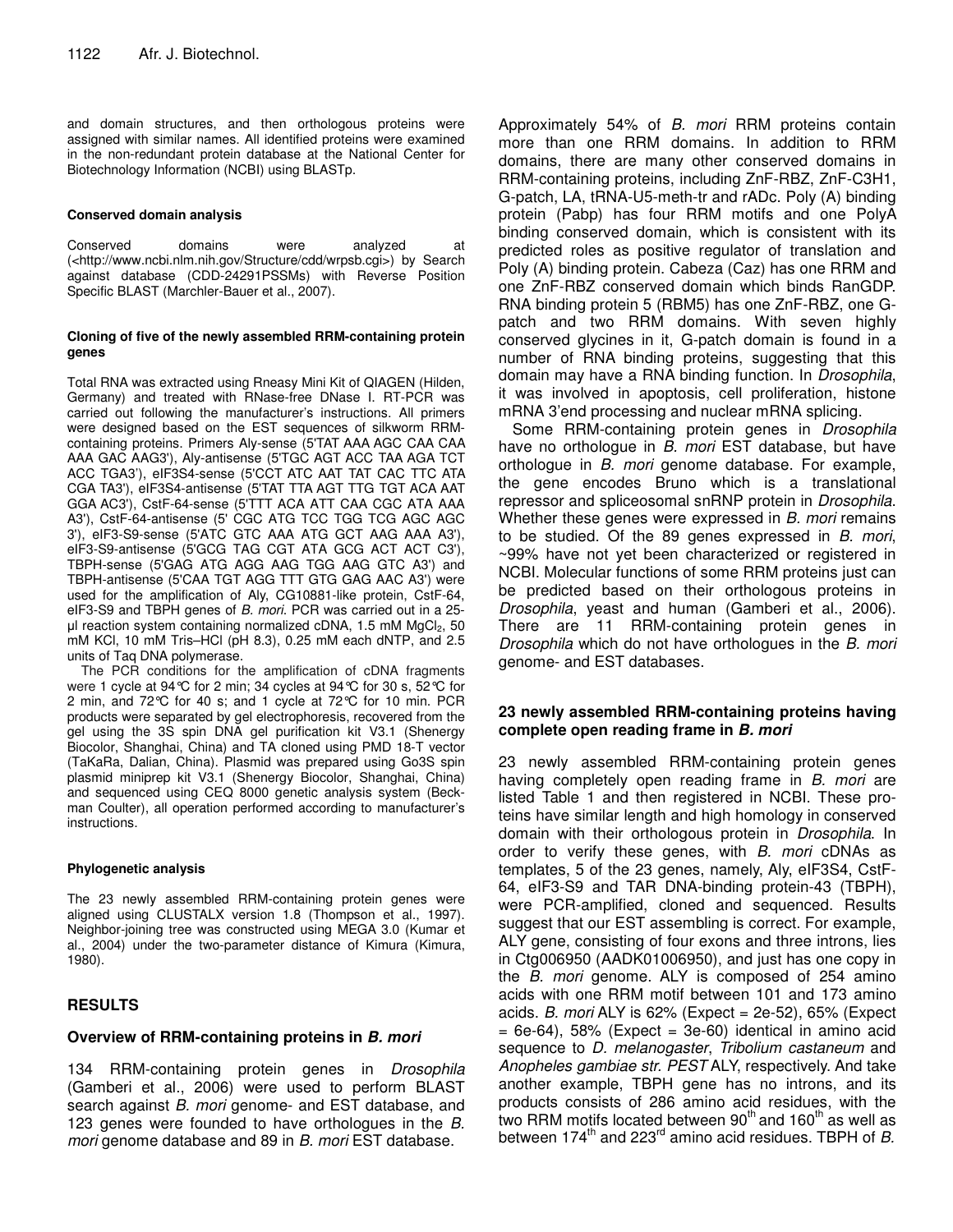and domain structures, and then orthologous proteins were assigned with similar names. All identified proteins were examined in the non-redundant protein database at the National Center for Biotechnology Information (NCBI) using BLASTp.

#### **Conserved domain analysis**

Conserved domains were analyzed at (<http://www.ncbi.nlm.nih.gov/Structure/cdd/wrpsb.cgi>) by Search against database (CDD-24291PSSMs) with Reverse Position Specific BLAST (Marchler-Bauer et al., 2007).

#### **Cloning of five of the newly assembled RRM-containing protein genes**

Total RNA was extracted using Rneasy Mini Kit of QIAGEN (Hilden, Germany) and treated with RNase-free DNase I. RT-PCR was carried out following the manufacturer's instructions. All primers were designed based on the EST sequences of silkworm RRMcontaining proteins. Primers Aly-sense (5'TAT AAA AGC CAA CAA AAA GAC AAG3'), Aly-antisense (5'TGC AGT ACC TAA AGA TCT ACC TGA3'), eIF3S4-sense (5'CCT ATC AAT TAT CAC TTC ATA CGA TA3'), eIF3S4-antisense (5'TAT TTA AGT TTG TGT ACA AAT GGA AC3'), CstF-64-sense (5'TTT ACA ATT CAA CGC ATA AAA A3'), CstF-64-antisense (5' CGC ATG TCC TGG TCG AGC AGC 3'), eIF3-S9-sense (5'ATC GTC AAA ATG GCT AAG AAA A3'), eIF3-S9-antisense (5'GCG TAG CGT ATA GCG ACT ACT C3'), TBPH-sense (5'GAG ATG AGG AAG TGG AAG GTC A3') and TBPH-antisense (5'CAA TGT AGG TTT GTG GAG AAC A3') were used for the amplification of Aly, CG10881-like protein, CstF-64, eIF3-S9 and TBPH genes of *B. mori*. PCR was carried out in a 25 µl reaction system containing normalized cDNA, 1.5 mM MgCl2, 50 mM KCl, 10 mM Tris–HCl (pH 8.3), 0.25 mM each dNTP, and 2.5 units of Taq DNA polymerase.

The PCR conditions for the amplification of cDNA fragments were 1 cycle at 94°C for 2 min; 34 cycles at 94°C for 30 s, 52°C for 2 min, and 72°C for 40 s; and 1 cycle at 72°C for 10 min. PCR products were separated by gel electrophoresis, recovered from the gel using the 3S spin DNA gel purification kit V3.1 (Shenergy Biocolor, Shanghai, China) and TA cloned using PMD 18-T vector (TaKaRa, Dalian, China). Plasmid was prepared using Go3S spin plasmid miniprep kit V3.1 (Shenergy Biocolor, Shanghai, China) and sequenced using CEQ 8000 genetic analysis system (Beckman Coulter), all operation performed according to manufacturer's instructions.

#### **Phylogenetic analysis**

The 23 newly assembled RRM-containing protein genes were aligned using CLUSTALX version 1.8 (Thompson et al., 1997). Neighbor-joining tree was constructed using MEGA 3.0 (Kumar et al., 2004) under the two-parameter distance of Kimura (Kimura, 1980).

### **RESULTS**

#### **Overview of RRM-containing proteins in** *B. mori*

134 RRM-containing protein genes in *Drosophila* (Gamberi et al., 2006) were used to perform BLAST search against *B. mori* genome- and EST database, and 123 genes were founded to have orthologues in the *B. mori* genome database and 89 in *B. mori* EST database.

Approximately 54% of *B. mori* RRM proteins contain more than one RRM domains. In addition to RRM domains, there are many other conserved domains in RRM-containing proteins, including ZnF-RBZ, ZnF-C3H1, G-patch, LA, tRNA-U5-meth-tr and rADc. Poly (A) binding protein (Pabp) has four RRM motifs and one PolyA binding conserved domain, which is consistent with its predicted roles as positive regulator of translation and Poly (A) binding protein. Cabeza (Caz) has one RRM and one ZnF-RBZ conserved domain which binds RanGDP. RNA binding protein 5 (RBM5) has one ZnF-RBZ, one Gpatch and two RRM domains. With seven highly conserved glycines in it, G-patch domain is found in a number of RNA binding proteins, suggesting that this domain may have a RNA binding function. In *Drosophila*, it was involved in apoptosis, cell proliferation, histone mRNA 3'end processing and nuclear mRNA splicing.

Some RRM-containing protein genes in *Drosophila* have no orthologue in *B. mori* EST database, but have orthologue in *B. mori* genome database. For example, the gene encodes Bruno which is a translational repressor and spliceosomal snRNP protein in *Drosophila*. Whether these genes were expressed in *B. mori* remains to be studied. Of the 89 genes expressed in *B. mori*, ~99% have not yet been characterized or registered in NCBI. Molecular functions of some RRM proteins just can be predicted based on their orthologous proteins in *Drosophila*, yeast and human (Gamberi et al., 2006). There are 11 RRM-containing protein genes in *Drosophila* which do not have orthologues in the *B. mori* genome- and EST databases.

#### **23 newly assembled RRM-containing proteins having complete open reading frame in** *B. mori*

23 newly assembled RRM-containing protein genes having completely open reading frame in *B. mori* are listed Table 1 and then registered in NCBI. These proteins have similar length and high homology in conserved domain with their orthologous protein in *Drosophila*. In order to verify these genes, with *B. mori* cDNAs as templates, 5 of the 23 genes, namely, Aly, eIF3S4, CstF-64, eIF3-S9 and TAR DNA-binding protein-43 (TBPH), were PCR-amplified, cloned and sequenced. Results suggest that our EST assembling is correct. For example, ALY gene, consisting of four exons and three introns, lies in Ctg006950 (AADK01006950), and just has one copy in the *B. mori* genome. ALY is composed of 254 amino acids with one RRM motif between 101 and 173 amino acids. *B. mori* ALY is 62% (Expect = 2e-52), 65% (Expect  $= 6e-64$ , 58% (Expect  $= 3e-60$ ) identical in amino acid sequence to *D. melanogaster*, *Tribolium castaneum* and *Anopheles gambiae str. PEST* ALY, respectively. And take another example, TBPH gene has no introns, and its products consists of 286 amino acid residues, with the two RRM motifs located between 90<sup>th</sup> and 160<sup>th</sup> as well as between 174<sup>th</sup> and 223<sup>rd</sup> amino acid residues. TBPH of *B.*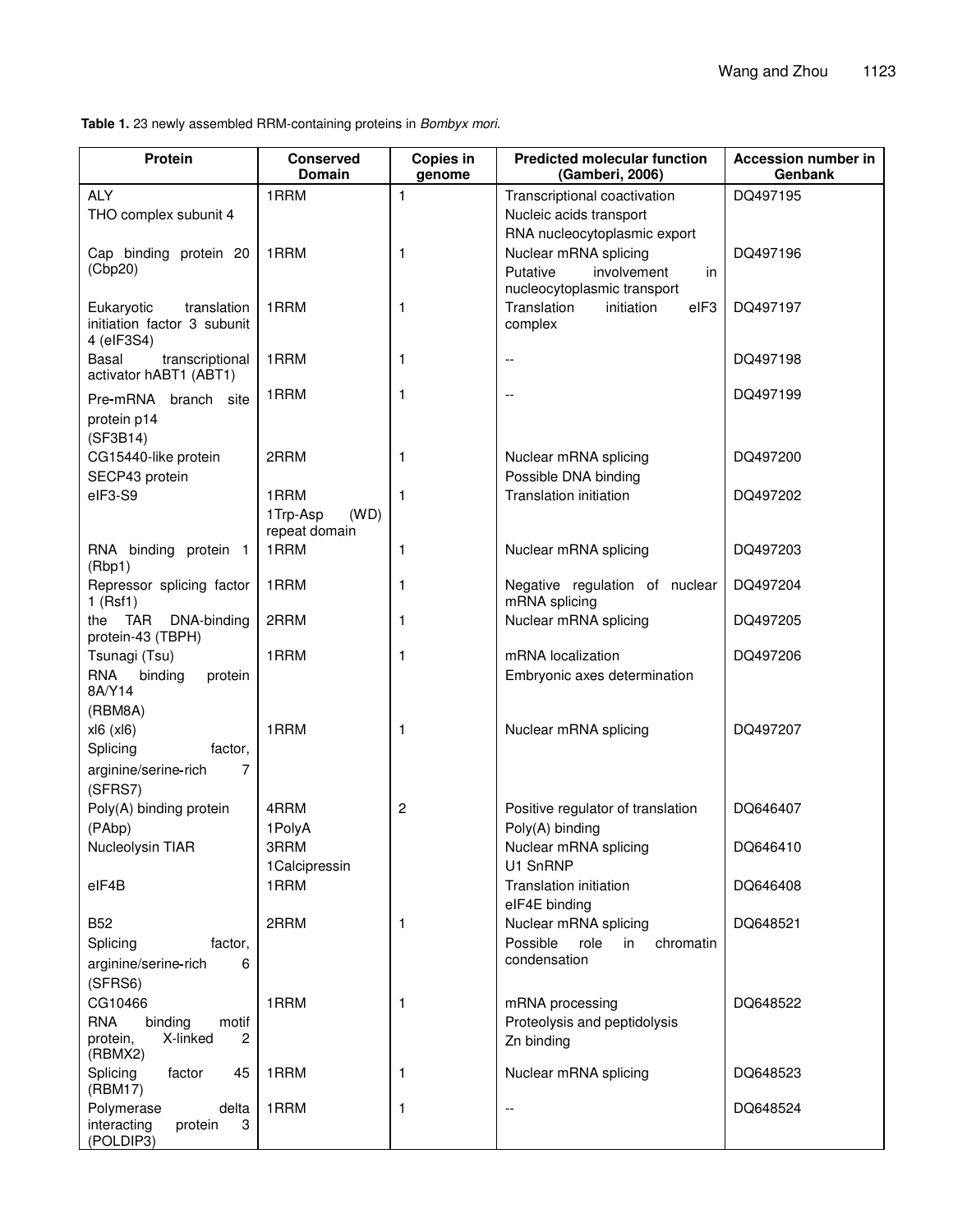**Table 1.** 23 newly assembled RRM-containing proteins in *Bombyx mori*.

| <b>Protein</b>                                                         | <b>Conserved</b><br><b>Domain</b> | Copies in<br>genome | <b>Predicted molecular function</b><br>(Gamberi, 2006) | <b>Accession number in</b><br>Genbank |
|------------------------------------------------------------------------|-----------------------------------|---------------------|--------------------------------------------------------|---------------------------------------|
| <b>ALY</b>                                                             | 1RRM                              | 1                   | Transcriptional coactivation                           | DQ497195                              |
| THO complex subunit 4                                                  |                                   |                     | Nucleic acids transport                                |                                       |
|                                                                        |                                   |                     | RNA nucleocytoplasmic export                           |                                       |
| Cap binding protein 20                                                 | 1RRM                              | 1                   | Nuclear mRNA splicing                                  | DQ497196                              |
| (Cbp20)                                                                |                                   |                     | Putative<br>involvement<br>in                          |                                       |
|                                                                        |                                   |                     | nucleocytoplasmic transport                            |                                       |
| translation<br>Eukaryotic<br>initiation factor 3 subunit<br>4 (eIF3S4) | 1RRM                              | 1                   | Translation<br>eIF3<br>initiation<br>complex           | DQ497197                              |
| Basal<br>transcriptional<br>activator hABT1 (ABT1)                     | 1RRM                              | 1                   | $-$                                                    | DQ497198                              |
| Pre-mRNA branch site                                                   | 1RRM                              | 1                   | $-$                                                    | DQ497199                              |
| protein p14                                                            |                                   |                     |                                                        |                                       |
| (SF3B14)                                                               |                                   |                     |                                                        |                                       |
| CG15440-like protein                                                   | 2RRM                              | 1                   | Nuclear mRNA splicing                                  | DQ497200                              |
| SECP43 protein                                                         |                                   |                     | Possible DNA binding                                   |                                       |
| elF3-S9                                                                | 1RRM                              | 1                   | Translation initiation                                 | DQ497202                              |
|                                                                        | (WD)<br>1Trp-Asp                  |                     |                                                        |                                       |
|                                                                        | repeat domain                     |                     |                                                        |                                       |
| RNA binding protein 1<br>(Rbp1)                                        | 1RRM                              | 1                   | Nuclear mRNA splicing                                  | DQ497203                              |
| Repressor splicing factor<br>$1$ (Rsf1)                                | 1RRM                              | 1                   | Negative regulation of nuclear<br>mRNA splicing        | DQ497204                              |
| TAR<br>DNA-binding<br>the<br>protein-43 (TBPH)                         | 2RRM                              | 1                   | Nuclear mRNA splicing                                  | DQ497205                              |
| Tsunagi (Tsu)                                                          | 1RRM                              | 1                   | mRNA localization                                      | DQ497206                              |
| <b>RNA</b><br>binding<br>protein<br>8A/Y14                             |                                   |                     | Embryonic axes determination                           |                                       |
| (RBM8A)                                                                |                                   |                     |                                                        |                                       |
| x 6(x 6)                                                               | 1RRM                              | 1                   | Nuclear mRNA splicing                                  | DQ497207                              |
| Splicing<br>factor,                                                    |                                   |                     |                                                        |                                       |
| 7<br>arginine/serine-rich<br>(SFRS7)                                   |                                   |                     |                                                        |                                       |
| Poly(A) binding protein                                                | 4RRM                              | $\overline{c}$      | Positive regulator of translation                      | DQ646407                              |
| (PAbp)                                                                 | 1PolyA                            |                     | Poly(A) binding                                        |                                       |
| Nucleolysin TIAR                                                       | 3RRM                              |                     | Nuclear mRNA splicing                                  | DQ646410                              |
|                                                                        | 1 Calcipressin                    |                     | U1 SnRNP                                               |                                       |
| elF4B                                                                  | 1RRM                              |                     | Translation initiation<br>eIF4E binding                | DQ646408                              |
| <b>B52</b>                                                             | 2RRM                              | 1                   | Nuclear mRNA splicing                                  | DQ648521                              |
| Splicing<br>factor,                                                    |                                   |                     | Possible<br>role<br>in<br>chromatin                    |                                       |
| 6<br>arginine/serine-rich                                              |                                   |                     | condensation                                           |                                       |
| (SFRS6)                                                                |                                   |                     |                                                        |                                       |
| CG10466                                                                | 1RRM                              | 1                   | mRNA processing                                        | DQ648522                              |
| <b>RNA</b><br>binding<br>motif                                         |                                   |                     | Proteolysis and peptidolysis                           |                                       |
| X-linked<br>protein,<br>2<br>(RBMX2)                                   |                                   |                     | Zn binding                                             |                                       |
| Splicing<br>factor<br>45<br>(RBM17)                                    | 1RRM                              | 1                   | Nuclear mRNA splicing                                  | DQ648523                              |
| Polymerase<br>delta<br>interacting<br>protein<br>3<br>(POLDIP3)        | 1RRM                              | 1                   | $\overline{\phantom{a}}$                               | DQ648524                              |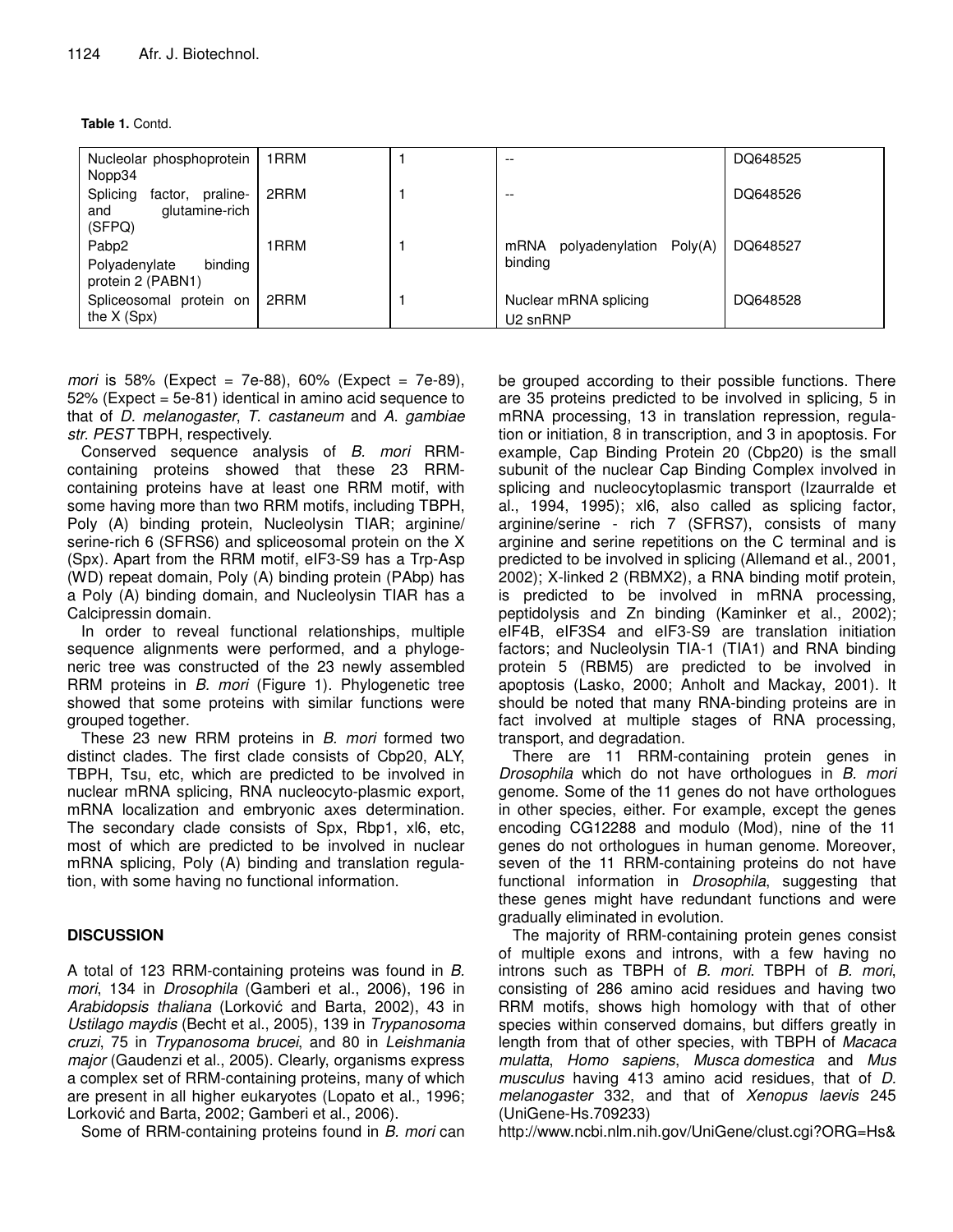**Table 1.** Contd.

| Nucleolar phosphoprotein<br>Nopp34                                 | 1 RRM | $- -$                                         | DQ648525 |
|--------------------------------------------------------------------|-------|-----------------------------------------------|----------|
| Splicing<br>praline-<br>factor,<br>glutamine-rich<br>and<br>(SFPQ) | 2RRM  | $- -$                                         | DQ648526 |
| Pabp2<br>binding<br>Polyadenylate<br>protein 2 (PABN1)             | 1RRM  | Poly(A)<br>mRNA<br>polyadenylation<br>binding | DQ648527 |
| Spliceosomal protein on<br>the $X(Spx)$                            | 2RRM  | Nuclear mRNA splicing<br>U <sub>2</sub> snRNP | DQ648528 |

*mori* is 58% (Expect = 7e-88), 60% (Expect = 7e-89), 52% (Expect = 5e-81) identical in amino acid sequence to that of *D. melanogaster*, *T*. *castaneum* and *A*. *gambiae str. PEST* TBPH, respectively.

Conserved sequence analysis of *B. mori* RRMcontaining proteins showed that these 23 RRMcontaining proteins have at least one RRM motif, with some having more than two RRM motifs, including TBPH, Poly (A) binding protein, Nucleolysin TIAR; arginine/ serine-rich 6 (SFRS6) and spliceosomal protein on the X (Spx). Apart from the RRM motif, eIF3-S9 has a Trp-Asp (WD) repeat domain, Poly (A) binding protein (PAbp) has a Poly (A) binding domain, and Nucleolysin TIAR has a Calcipressin domain.

In order to reveal functional relationships, multiple sequence alignments were performed, and a phylogeneric tree was constructed of the 23 newly assembled RRM proteins in *B. mori* (Figure 1). Phylogenetic tree showed that some proteins with similar functions were grouped together.

These 23 new RRM proteins in *B. mori* formed two distinct clades. The first clade consists of Cbp20, ALY, TBPH, Tsu, etc, which are predicted to be involved in nuclear mRNA splicing, RNA nucleocyto-plasmic export, mRNA localization and embryonic axes determination. The secondary clade consists of Spx, Rbp1, xl6, etc, most of which are predicted to be involved in nuclear mRNA splicing, Poly (A) binding and translation regulation, with some having no functional information.

## **DISCUSSION**

A total of 123 RRM-containing proteins was found in *B. mori*, 134 in *Drosophila* (Gamberi et al., 2006), 196 in Arabidopsis *thaliana* (Lorković and Barta, 2002), 43 in *Ustilago maydis* (Becht et al., 2005), 139 in *Trypanosoma cruzi*, 75 in *Trypanosoma brucei*, and 80 in *Leishmania major* (Gaudenzi et al., 2005). Clearly, organisms express a complex set of RRM-containing proteins, many of which are present in all higher eukaryotes (Lopato et al., 1996; Lorković and Barta, 2002; Gamberi et al., 2006).

Some of RRM-containing proteins found in *B. mori* can

be grouped according to their possible functions. There are 35 proteins predicted to be involved in splicing, 5 in mRNA processing, 13 in translation repression, regulation or initiation, 8 in transcription, and 3 in apoptosis. For example, Cap Binding Protein 20 (Cbp20) is the small subunit of the nuclear Cap Binding Complex involved in splicing and nucleocytoplasmic transport (Izaurralde et al., 1994, 1995); xl6, also called as splicing factor, arginine/serine - rich 7 (SFRS7), consists of many arginine and serine repetitions on the C terminal and is predicted to be involved in splicing (Allemand et al., 2001, 2002); X-linked 2 (RBMX2), a RNA binding motif protein, is predicted to be involved in mRNA processing, peptidolysis and Zn binding (Kaminker et al., 2002); eIF4B, eIF3S4 and eIF3-S9 are translation initiation factors; and Nucleolysin TIA-1 (TIA1) and RNA binding protein 5 (RBM5) are predicted to be involved in apoptosis (Lasko, 2000; Anholt and Mackay, 2001). It should be noted that many RNA-binding proteins are in fact involved at multiple stages of RNA processing, transport, and degradation.

There are 11 RRM-containing protein genes in *Drosophila* which do not have orthologues in *B. mori* genome. Some of the 11 genes do not have orthologues in other species, either. For example, except the genes encoding CG12288 and modulo (Mod), nine of the 11 genes do not orthologues in human genome. Moreover, seven of the 11 RRM-containing proteins do not have functional information in *Drosophila*, suggesting that these genes might have redundant functions and were gradually eliminated in evolution.

The majority of RRM-containing protein genes consist of multiple exons and introns, with a few having no introns such as TBPH of *B. mori*. TBPH of *B. mori*, consisting of 286 amino acid residues and having two RRM motifs, shows high homology with that of other species within conserved domains, but differs greatly in length from that of other species, with TBPH of *Macaca mulatta*, *Homo sapiens*, *Musca domestica* and *Mus musculus* having 413 amino acid residues, that of *D. melanogaster* 332, and that of *Xenopus laevis* 245 (UniGene-Hs.709233)

http://www.ncbi.nlm.nih.gov/UniGene/clust.cgi?ORG=Hs&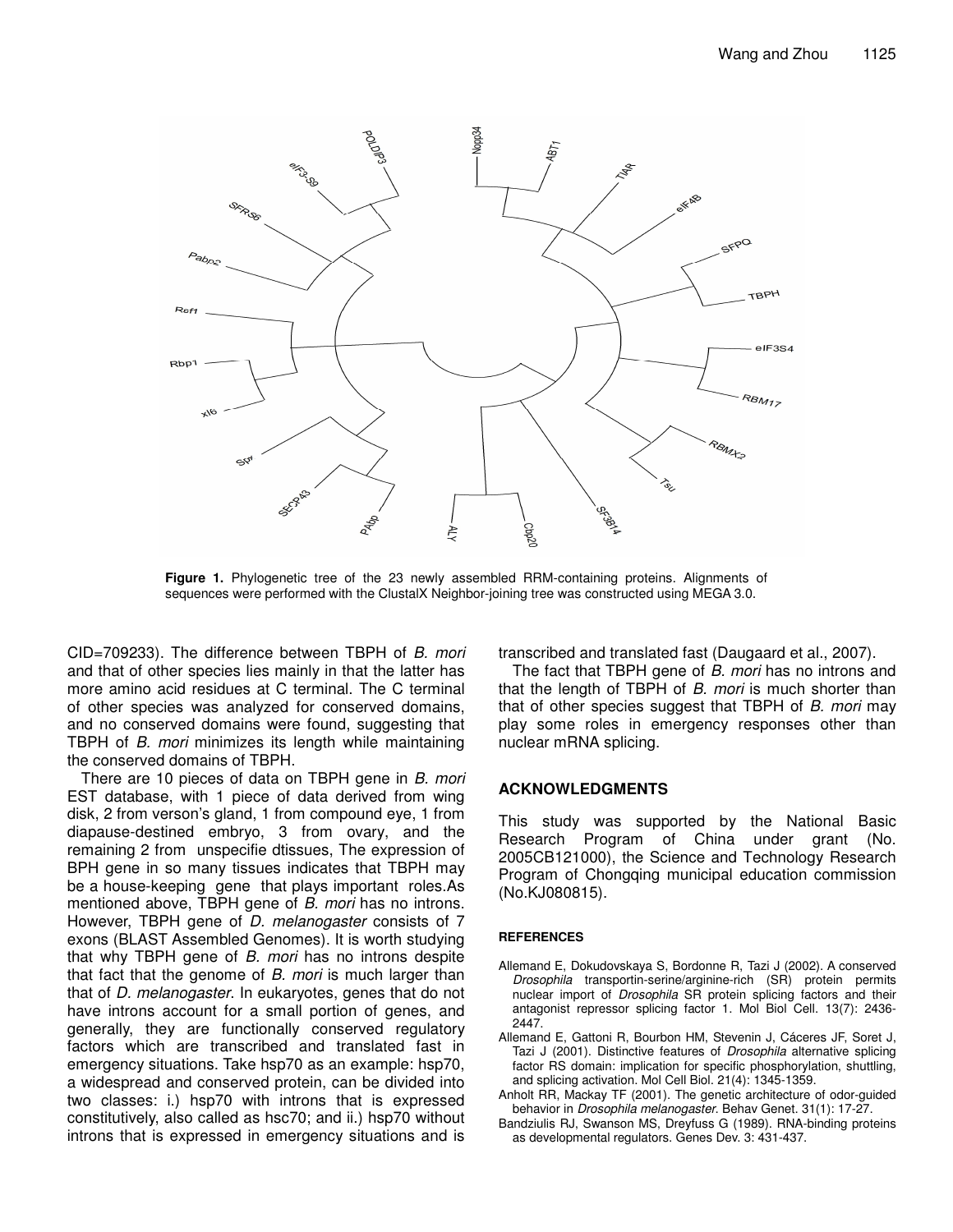

**Figure 1.** Phylogenetic tree of the 23 newly assembled RRM-containing proteins. Alignments of sequences were performed with the ClustalX Neighbor-joining tree was constructed using MEGA 3.0.

CID=709233). The difference between TBPH of *B. mori* and that of other species lies mainly in that the latter has more amino acid residues at C terminal. The C terminal of other species was analyzed for conserved domains, and no conserved domains were found, suggesting that TBPH of *B. mori* minimizes its length while maintaining the conserved domains of TBPH.

There are 10 pieces of data on TBPH gene in *B. mori* EST database, with 1 piece of data derived from wing disk, 2 from verson's gland, 1 from compound eye, 1 from diapause-destined embryo, 3 from ovary, and the remaining 2 from unspecifie dtissues, The expression of BPH gene in so many tissues indicates that TBPH may be a house-keeping gene that plays important roles.As mentioned above, TBPH gene of *B. mori* has no introns. However, TBPH gene of *D. melanogaster* consists of 7 exons (BLAST Assembled Genomes). It is worth studying that why TBPH gene of *B. mori* has no introns despite that fact that the genome of *B. mori* is much larger than that of *D. melanogaster*. In eukaryotes, genes that do not have introns account for a small portion of genes, and generally, they are functionally conserved regulatory factors which are transcribed and translated fast in emergency situations. Take hsp70 as an example: hsp70, a widespread and conserved protein, can be divided into two classes: i.) hsp70 with introns that is expressed constitutively, also called as hsc70; and ii.) hsp70 without introns that is expressed in emergency situations and is transcribed and translated fast (Daugaard et al., 2007).

The fact that TBPH gene of *B. mori* has no introns and that the length of TBPH of *B. mori* is much shorter than that of other species suggest that TBPH of *B. mori* may play some roles in emergency responses other than nuclear mRNA splicing.

#### **ACKNOWLEDGMENTS**

This study was supported by the National Basic Research Program of China under grant (No. 2005CB121000), the Science and Technology Research Program of Chongqing municipal education commission (No.KJ080815).

#### **REFERENCES**

- Allemand E, Dokudovskaya S, Bordonne R, Tazi J (2002). A conserved *Drosophila* transportin-serine/arginine-rich (SR) protein permits nuclear import of *Drosophila* SR protein splicing factors and their antagonist repressor splicing factor 1. Mol Biol Cell. 13(7): 2436- 2447.
- Allemand E, Gattoni R, Bourbon HM, Stevenin J, Cáceres JF, Soret J, Tazi J (2001). Distinctive features of *Drosophila* alternative splicing factor RS domain: implication for specific phosphorylation, shuttling, and splicing activation. Mol Cell Biol. 21(4): 1345-1359.
- Anholt RR, Mackay TF (2001). The genetic architecture of odor-guided behavior in *Drosophila melanogaster*. Behav Genet. 31(1): 17-27.
- Bandziulis RJ, Swanson MS, Dreyfuss G (1989). RNA-binding proteins as developmental regulators. Genes Dev. 3: 431-437.